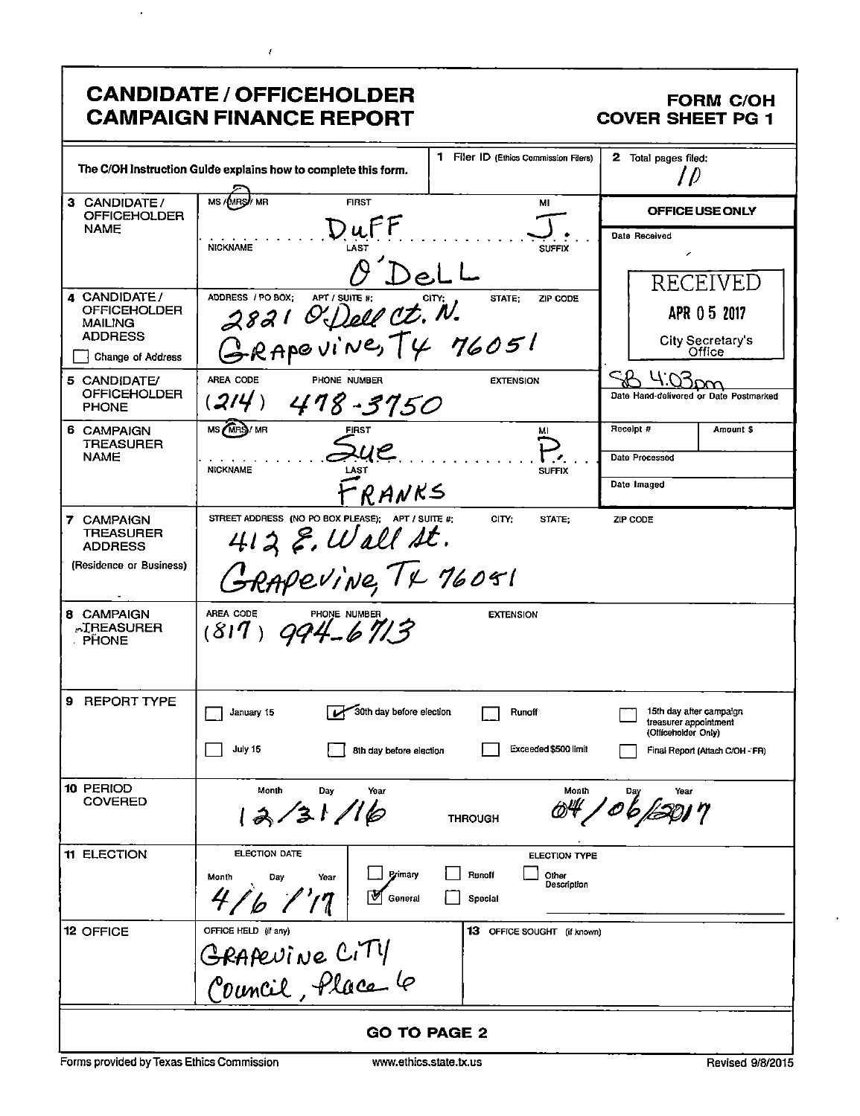|                                                                                              | <b>CANDIDATE / OFFICEHOLDER</b><br><b>CAMPAIGN FINANCE REPORT</b>                                       |                                                                   | <b>FORM C/OH</b><br><b>COVER SHEET PG 1</b>                                                                |  |
|----------------------------------------------------------------------------------------------|---------------------------------------------------------------------------------------------------------|-------------------------------------------------------------------|------------------------------------------------------------------------------------------------------------|--|
| The C/OH instruction Guide explains how to complete this form.                               | 2 Total pages filed:<br>' D                                                                             |                                                                   |                                                                                                            |  |
| 3 CANDIDATE/<br><b>OFFICEHOLDER</b>                                                          | / MR<br><b>FIRST</b><br>MS/MRS                                                                          | OFFICE USE ONLY                                                   |                                                                                                            |  |
| <b>NAME</b>                                                                                  | $D$ ul<br><b>NICKNAME</b><br>LAST                                                                       | Date Received<br>í<br>RECEIVED                                    |                                                                                                            |  |
| 4 CANDIDATE/<br><b>OFFICEHOLDER</b><br><b>MAILING</b><br><b>ADDRESS</b><br>Change of Address | ADDRESS / PO BOX:<br>2821 Of Dell Ct. N.<br>GRAPOVINE, TY 76051                                         | STATE:<br>ZIP CODE                                                | APR 05 2017<br><b>City Secretary's</b><br>Office                                                           |  |
| 5 CANDIDATE/<br><b>OFFICEHOLDER</b><br><b>PHONE</b>                                          | AREA CODE<br>PHONE NUMBER<br>(214)<br>$478 - 3750$                                                      | <b>EXTENSION</b>                                                  | Date Hand-delivered or Date Postmarked                                                                     |  |
| 6 CAMPAIGN<br><b>TREASURER</b><br><b>NAME</b>                                                | MS MRS/MR<br><b>FIRST</b><br><b>NICKNAME</b>                                                            | MI<br><b>SUFFIX</b>                                               | Receipt #<br>Amount \$<br>Date Processed                                                                   |  |
| 7 CAMPAIGN<br><b>TREASURER</b><br><b>ADDRESS</b><br>(Residence or Business)                  | RANKS.<br>STREET ADDRESS (NO PO BOX PLEASE); APT / SUITE #;<br>$412$ E. Wall St.<br>GRAPEVINE, TX 76051 | CITY;<br>STATE:                                                   | Date Imaged<br>ZIP CODE                                                                                    |  |
| 8 CAMPAIGN<br><b>AIREASURER</b><br><b>PHONE</b>                                              | AREA CODE PHONE NUMBER $(817)$ 994-6713                                                                 | <b>EXTENSION</b>                                                  |                                                                                                            |  |
| 9 REPORT TYPE                                                                                | 30th day before election<br>January 15<br>July 15<br>8th day before election                            | Runoff<br>Exceeded \$500 limit                                    | 15th day after campaign<br>treasurer appointment<br>(Officeholder Only)<br>Final Report (Attach C/OH - FR) |  |
| 10 PERIOD<br><b>COVERED</b>                                                                  | Month<br>Day<br>Year<br>31/16                                                                           | Month<br><b>THROUGH</b>                                           | Year                                                                                                       |  |
| <b>11 ELECTION</b>                                                                           | <b>ELECTION DATE</b><br>Primary<br>Month<br>Day<br>Year<br>$\frac{1}{2}$<br>47<br>'b<br>General         | <b>ELECTION TYPE</b><br>Runoff<br>Other<br>Description<br>Special |                                                                                                            |  |
| 12 OFFICE                                                                                    | OFFICE HELD (if any)<br>GRAPEVINE CITY<br>Council, Place le                                             | 13 OFFICE SOUGHT (if known)                                       |                                                                                                            |  |
|                                                                                              |                                                                                                         | <b>GO TO PAGE 2</b>                                               |                                                                                                            |  |

 $\bar{\mathbf{r}}$ 

 $\bar{t}$ 

 $\bullet$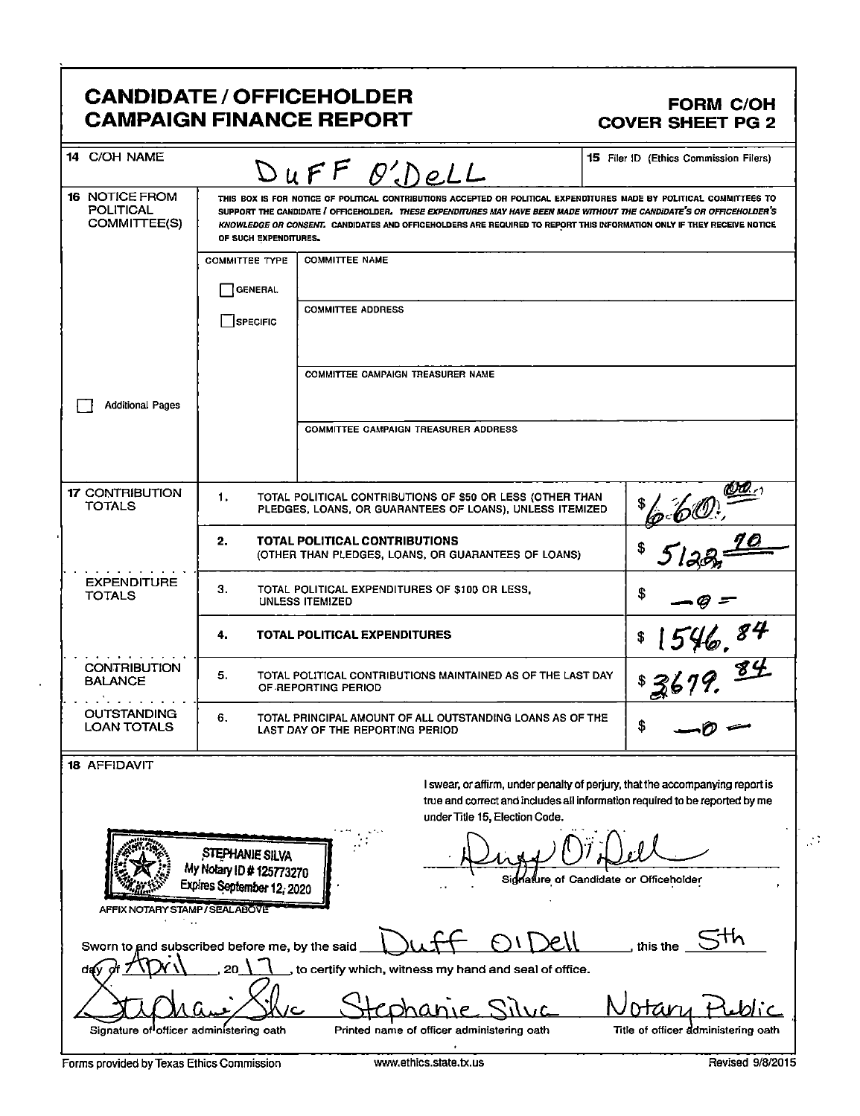### CANDIDATE / OFFICEHOLDER<br>CAMPAIGN FINANCE REPORT COVER SHEET PG 2 **CAMPAIGN FINANCE REPORT**

| 14 C/OH NAME                                       |                                                                                                                                                                                                                                                                                                                                                                                                  | DUFF O'DeLL                                                                                                           | <b>15</b> Filer ID (Ethics Commission Filers)                                                                                                                |  |  |  |
|----------------------------------------------------|--------------------------------------------------------------------------------------------------------------------------------------------------------------------------------------------------------------------------------------------------------------------------------------------------------------------------------------------------------------------------------------------------|-----------------------------------------------------------------------------------------------------------------------|--------------------------------------------------------------------------------------------------------------------------------------------------------------|--|--|--|
| 16 NOTICE FROM<br><b>POLITICAL</b><br>COMMITTEE(S) | THIS BOX IS FOR NOTICE OF POLITICAL CONTRIBUTIONS ACCEPTED OR POLITICAL EXPENDITURES MADE BY POLITICAL COMMITTEES TO<br>SUPPORT THE CANDIDATE / OFFICEHOLDER. THESE EXPENDITURES MAY HAVE BEEN MADE WITHOUT THE CANDIDATE'S OR OFFICEHOLDER'S<br>KNOWLEDGE OR CONSENT. CANDIDATES AND OFFICEHOLDERS ARE REQUIRED TO REPORT THIS INFORMATION ONLY IF THEY RECEIVE NOTICE<br>OF SUCH EXPENDITURES. |                                                                                                                       |                                                                                                                                                              |  |  |  |
|                                                    | <b>COMMITTEE TYPE</b>                                                                                                                                                                                                                                                                                                                                                                            | <b>COMMITTEE NAME</b>                                                                                                 |                                                                                                                                                              |  |  |  |
|                                                    | <b>GENERAL</b>                                                                                                                                                                                                                                                                                                                                                                                   |                                                                                                                       |                                                                                                                                                              |  |  |  |
|                                                    | SPECIFIC                                                                                                                                                                                                                                                                                                                                                                                         | <b>COMMITTEE ADDRESS</b>                                                                                              |                                                                                                                                                              |  |  |  |
|                                                    |                                                                                                                                                                                                                                                                                                                                                                                                  | <b>COMMITTEE CAMPAIGN TREASURER NAME</b>                                                                              |                                                                                                                                                              |  |  |  |
| <b>Additional Pages</b>                            |                                                                                                                                                                                                                                                                                                                                                                                                  |                                                                                                                       |                                                                                                                                                              |  |  |  |
|                                                    |                                                                                                                                                                                                                                                                                                                                                                                                  | <b>COMMITTEE CAMPAIGN TREASURER ADDRESS</b>                                                                           |                                                                                                                                                              |  |  |  |
| <b>17 CONTRIBUTION</b><br>TOTALS                   | 1.                                                                                                                                                                                                                                                                                                                                                                                               | TOTAL POLITICAL CONTRIBUTIONS OF \$50 OR LESS (OTHER THAN<br>PLEDGES, LOANS, OR GUARANTEES OF LOANS), UNLESS ITEMIZED | $\underbrace{00!}$                                                                                                                                           |  |  |  |
|                                                    | 2.                                                                                                                                                                                                                                                                                                                                                                                               | TOTAL POLITICAL CONTRIBUTIONS<br>(OTHER THAN PLEDGES, LOANS, OR GUARANTEES OF LOANS)                                  |                                                                                                                                                              |  |  |  |
| <b>EXPENDITURE</b><br><b>TOTALS</b>                | З.                                                                                                                                                                                                                                                                                                                                                                                               | TOTAL POLITICAL EXPENDITURES OF \$100 OR LESS.<br><b>UNLESS ITEMIZED</b>                                              | \$                                                                                                                                                           |  |  |  |
|                                                    | TOTAL POLITICAL EXPENDITURES<br>4.                                                                                                                                                                                                                                                                                                                                                               |                                                                                                                       |                                                                                                                                                              |  |  |  |
| <b>CONTRIBUTION</b><br><b>BALANCE</b>              | $\frac{1546.84}{679.84}$<br>5.<br>TOTAL POLITICAL CONTRIBUTIONS MAINTAINED AS OF THE LAST DAY<br>OF REPORTING PERIOD                                                                                                                                                                                                                                                                             |                                                                                                                       |                                                                                                                                                              |  |  |  |
| OUTSTANDING<br><b>LOAN TOTALS</b>                  | 6.<br>TOTAL PRINCIPAL AMOUNT OF ALL OUTSTANDING LOANS AS OF THE<br>\$<br>LAST DAY OF THE REPORTING PERIOD                                                                                                                                                                                                                                                                                        |                                                                                                                       |                                                                                                                                                              |  |  |  |
| <b>18 AFFIDAVIT</b>                                |                                                                                                                                                                                                                                                                                                                                                                                                  |                                                                                                                       |                                                                                                                                                              |  |  |  |
|                                                    |                                                                                                                                                                                                                                                                                                                                                                                                  | under Title 15, Election Code.                                                                                        | I swear, or affirm, under penalty of perjury, that the accompanying report is<br>true and correct and includes all information required to be reported by me |  |  |  |
|                                                    | STEPHANIE SILVA<br>My Notary ID # 125773270                                                                                                                                                                                                                                                                                                                                                      |                                                                                                                       | Signature of Candidate or Officeholder                                                                                                                       |  |  |  |
| AFFIX NOTARY STAMP / SEALABOVE                     | Expires September 12, 2020                                                                                                                                                                                                                                                                                                                                                                       |                                                                                                                       |                                                                                                                                                              |  |  |  |
| $\ddot{\phantom{a}}$                               |                                                                                                                                                                                                                                                                                                                                                                                                  |                                                                                                                       |                                                                                                                                                              |  |  |  |
| Sworn to and subscribed before me, by the said     |                                                                                                                                                                                                                                                                                                                                                                                                  |                                                                                                                       | this the                                                                                                                                                     |  |  |  |
| da{y                                               |                                                                                                                                                                                                                                                                                                                                                                                                  | to certify which, witness my hand and seal of office.                                                                 |                                                                                                                                                              |  |  |  |
|                                                    |                                                                                                                                                                                                                                                                                                                                                                                                  |                                                                                                                       |                                                                                                                                                              |  |  |  |
| Signature of officer administering oath            |                                                                                                                                                                                                                                                                                                                                                                                                  | Printed name of officer administering oath                                                                            | Title of officer administering oath                                                                                                                          |  |  |  |

Forms provided by Texas Ethics Commission www.ethics.state.tx.us Revised 9/8/2015

 $\frac{1}{2}$  .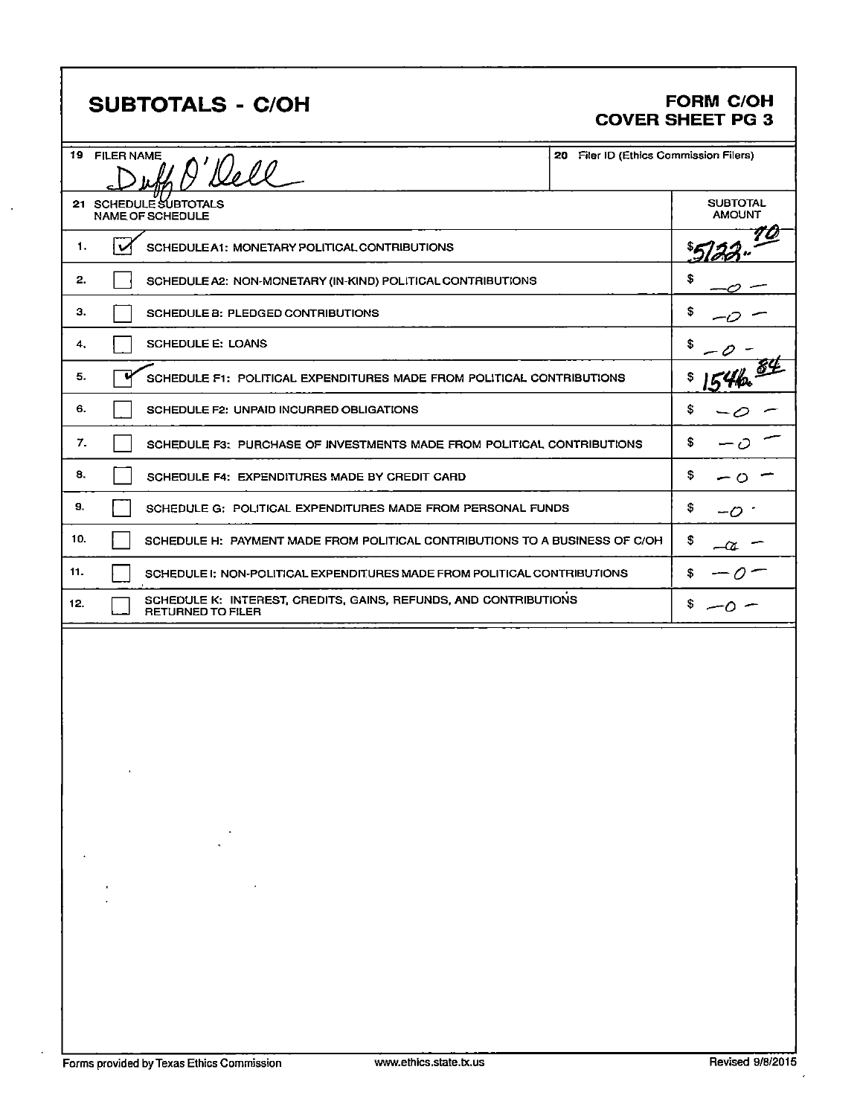## SUBTOTALS - C/OH FORM C/OH

# COVER SHEET PG 3

|     | 19 FILER NAME | 9'Dell                                                                                       | 20 Filer ID (Ethics Commission Filers) |
|-----|---------------|----------------------------------------------------------------------------------------------|----------------------------------------|
|     |               | 21 SCHEDULE SUBTOTALS<br><b>NAME OF SCHEDULE</b>                                             | <b>SUBTOTAL</b><br><b>AMOUNT</b>       |
| 1.  | v             | SCHEDULE A1: MONETARY POLITICAL CONTRIBUTIONS                                                |                                        |
| 2.  |               | SCHEDULE A2: NON-MONETARY (IN-KIND) POLITICAL CONTRIBUTIONS                                  | S                                      |
| з.  |               | SCHEDULE B: PLEDGED CONTRIBUTIONS                                                            | S                                      |
| 4.  |               | <b>SCHEDULE E: LOANS</b>                                                                     | S                                      |
| 5.  |               | SCHEDULE F1: POLITICAL EXPENDITURES MADE FROM POLITICAL CONTRIBUTIONS                        |                                        |
| 6.  |               | SCHEDULE F2: UNPAID INCURRED OBLIGATIONS                                                     | \$                                     |
| 7.  |               | SCHEDULE F3: PURCHASE OF INVESTMENTS MADE FROM POLITICAL CONTRIBUTIONS                       | \$                                     |
| 8.  |               | SCHEDULE F4: EXPENDITURES MADE BY CREDIT CARD                                                | \$                                     |
| 9.  |               | SCHEDULE G: POLITICAL EXPENDITURES MADE FROM PERSONAL FUNDS                                  | \$                                     |
| 10. |               | SCHEDULE H: PAYMENT MADE FROM POLITICAL CONTRIBUTIONS TO A BUSINESS OF C/OH                  | \$<br>-01                              |
| 11. |               | SCHEDULE I: NON-POLITICAL EXPENDITURES MADE FROM POLITICAL CONTRIBUTIONS                     |                                        |
| 12. |               | SCHEDULE K: INTEREST, CREDITS, GAINS, REFUNDS, AND CONTRIBUTIONS<br><b>RETURNED TO FILER</b> |                                        |
|     |               |                                                                                              |                                        |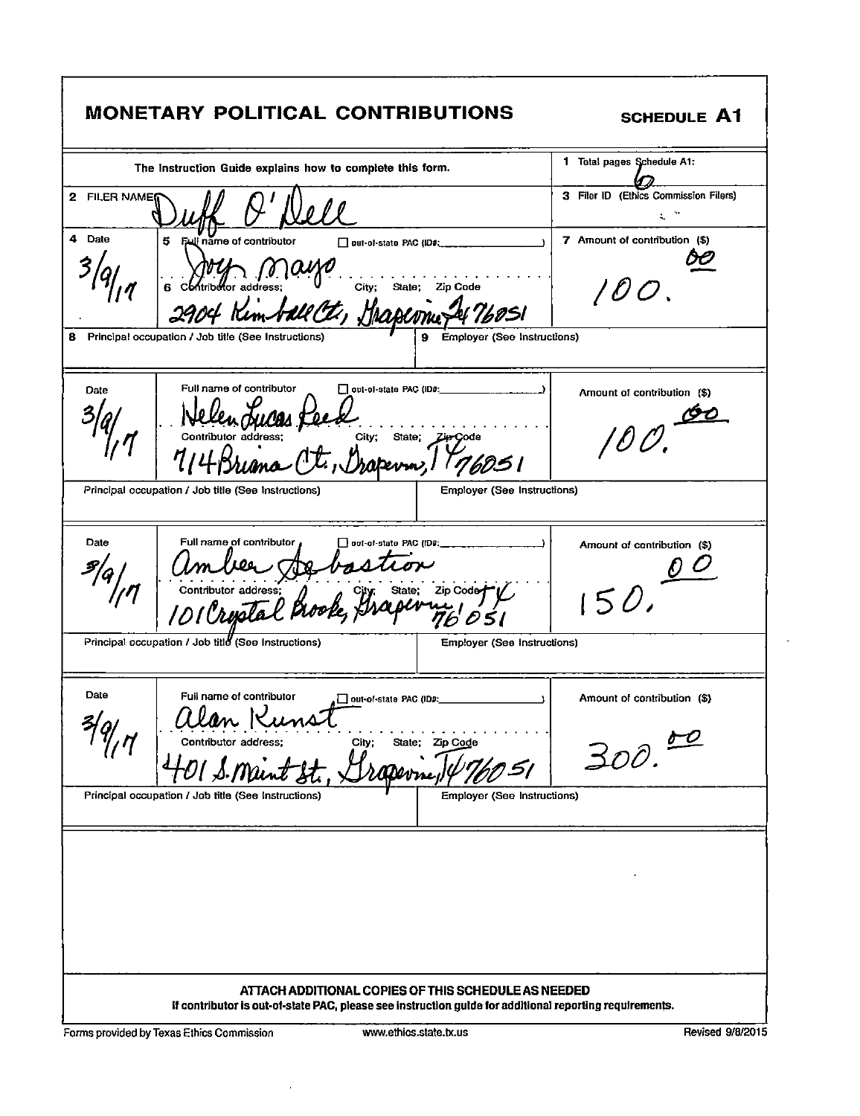| <b>MONETARY POLITICAL CONTRIBUTIONS</b>                                                                                                                                                                                                                                                                                                                                                                                                                                                                                                                                         | <b>SCHEDULE A1</b>                            |
|---------------------------------------------------------------------------------------------------------------------------------------------------------------------------------------------------------------------------------------------------------------------------------------------------------------------------------------------------------------------------------------------------------------------------------------------------------------------------------------------------------------------------------------------------------------------------------|-----------------------------------------------|
| The Instruction Guide explains how to complete this form.                                                                                                                                                                                                                                                                                                                                                                                                                                                                                                                       | 1 Total pages Schedule A1:                    |
| 2 FILER NAME(                                                                                                                                                                                                                                                                                                                                                                                                                                                                                                                                                                   | 3 Filer ID (Ethics Commission Filers)<br>€. ™ |
| 4 Date<br>5 Full name of contributor<br>$\Box$ put-of-state PAC (ID#; ______<br>$\bigcup_{\mathbf{G}} \bigcup_{\mathbf{C}} \bigcup_{\mathbf{C}} \bigcup_{\mathbf{C}} \bigcup_{\mathbf{C}} \bigcup_{\mathbf{C}} \bigcup_{\mathbf{C}} \bigcup_{\mathbf{C}} \bigcup_{\mathbf{C}} \bigcup_{\mathbf{C}} \bigcup_{\mathbf{C}} \bigcup_{\mathbf{C}} \bigcup_{\mathbf{C}} \bigcup_{\mathbf{C}} \bigcup_{\mathbf{C}} \bigcup_{\mathbf{C}} \bigcup_{\mathbf{C}} \bigcup_{\mathbf{C}} \bigcup_{\mathbf{C}} \bigcup_{\mathbf{C}} \bigcup_{\mathbf{C}} \bigcup_{\mathbf{C}}$<br>t, Grapeonic | 7 Amount of contribution (\$)<br>1 O O .      |
| 9 Employer (See Instructions)<br>8 Principal occupation / Job title (See Instructions)                                                                                                                                                                                                                                                                                                                                                                                                                                                                                          |                                               |
| Full name of contributor<br>Date<br>Nellen Jules Feex<br>Contributor address: City; State; Zipcode<br>M111 Rs, mn (L, Chaperrin, 196051                                                                                                                                                                                                                                                                                                                                                                                                                                         | Amount of contribution (\$)<br>$90 -$         |
| <b>Employer (See Instructions)</b><br>Principal occupation / Job title (See Instructions)                                                                                                                                                                                                                                                                                                                                                                                                                                                                                       |                                               |
| Date<br>Full name of contributor<br>amber Agbastion<br>Contributor address: 20 bastion<br>101 Crystal Prook, Graphine 7605                                                                                                                                                                                                                                                                                                                                                                                                                                                      | Amount of contribution (\$)<br>150.7          |
| Principal occupation / Job title (See Instructions)<br><b>Employer (See Instructions)</b>                                                                                                                                                                                                                                                                                                                                                                                                                                                                                       |                                               |
| Date<br>Full name of contributor<br>out-of-state PAC (ID#:_<br>$\rightarrow$<br>alan K<br>Contributor address;<br>State: Zip Code<br>City;<br>$91$ J. Mai. $\rlap{-}$ $\rlap{-}$<br><b>rasevine</b> ,                                                                                                                                                                                                                                                                                                                                                                           | Amount of contribution (\$)<br>300.02         |
| Principal occupation / Job title (See Instructions)<br><b>Employer (See Instructions)</b>                                                                                                                                                                                                                                                                                                                                                                                                                                                                                       |                                               |
| ATTACH ADDITIONAL COPIES OF THIS SCHEDULE AS NEEDED                                                                                                                                                                                                                                                                                                                                                                                                                                                                                                                             |                                               |
| If contributor is out-of-state PAC, please see instruction guide for additional reporting requirements.                                                                                                                                                                                                                                                                                                                                                                                                                                                                         |                                               |

Forms provided by Texas Ethics Commission www.ethics.state.tx.us Revised 9/8/2015

 $\hat{\mathcal{A}}$ 

r

٦

i.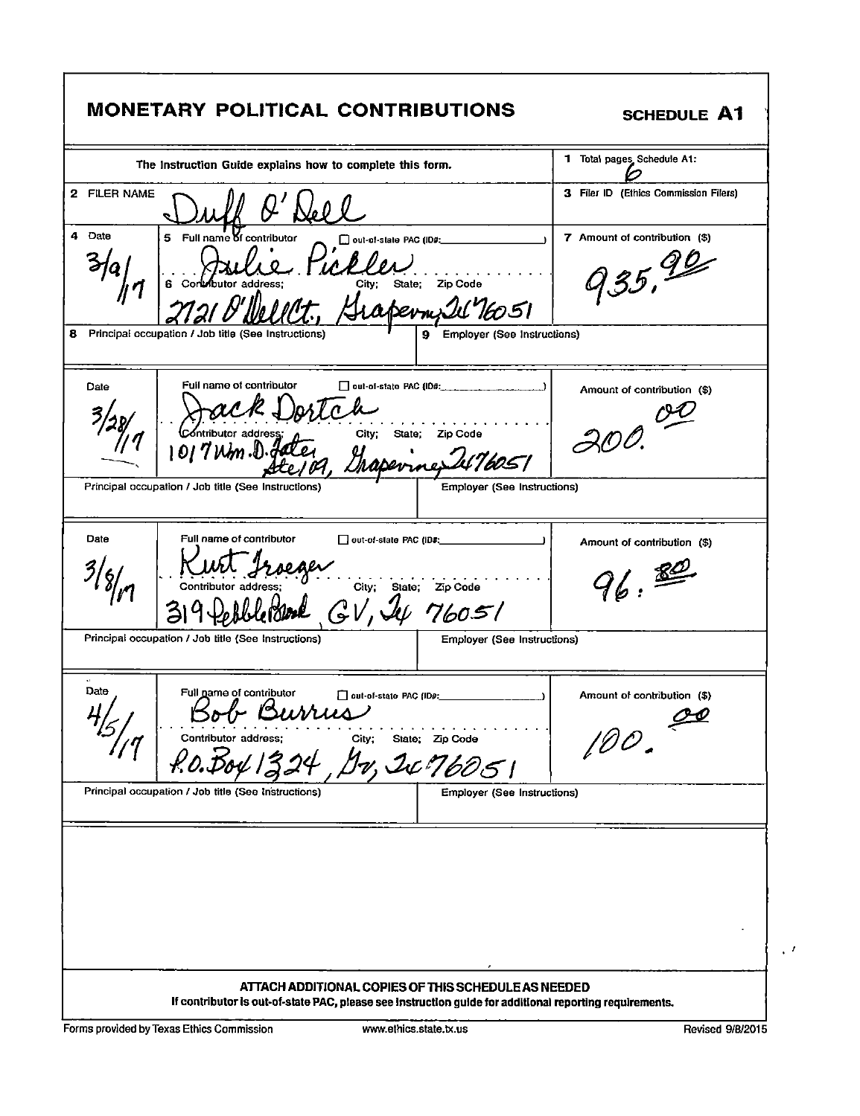| <b>MONETARY POLITICAL CONTRIBUTIONS</b>                                                                                                                                                                              | <b>SCHEDULE A1</b>                      |
|----------------------------------------------------------------------------------------------------------------------------------------------------------------------------------------------------------------------|-----------------------------------------|
| The Instruction Guide explains how to complete this form.                                                                                                                                                            | 1 Total pages Schedule A1:              |
| 2 FILER NAME                                                                                                                                                                                                         | 3 Filer ID (Ethics Commission Filers)   |
| 4 Date<br>5 Full name of contributor<br>out-of-state PAC (ID#:<br>City; State;<br>Zip Code<br>apermill 16051<br>8 Principal occupation / Job title (See Instructions)<br><b>Employer (See Instructions)</b><br>9     | 7 Amount of contribution (\$)<br>935,90 |
| Full name of contributor<br>$\Box$ out-of-state PAC (ID#: $\Box$<br>Date                                                                                                                                             | Amount of contribution (\$)             |
| Contributor address<br>City;<br>State; Zip Code<br>Drapevines                                                                                                                                                        | 300                                     |
| Principal occupation / Job title (See Instructions)<br><b>Employer (See Instructions)</b>                                                                                                                            |                                         |
| Full name of contributor<br>Date<br>out-of-state PAC (ID#;<br>Contributor address:<br>GV, 4476051                                                                                                                    | Amount of contribution (\$)<br>96.89    |
| Principal occupation / Job title (See Instructions)<br><b>Employer (See Instructions)</b>                                                                                                                            |                                         |
| Date<br>Full name of contributor<br>out-of-state PAC (ID#:<br>$\mathbf{I}$<br>$\sqrt{a}$ , $\lambda \lambda$ , $\lambda$<br>4/5<br>Contributor address;<br>City;<br>State; Zip Code<br>Dv, Ic 76051<br>R.O. Doll 13. | Amount of contribution (\$)<br>100.00   |
| Principal occupation / Job title (See Instructions)<br><b>Employer (See Instructions)</b>                                                                                                                            |                                         |
| ATTACH ADDITIONAL COPIES OF THIS SCHEDULE AS NEEDED                                                                                                                                                                  |                                         |

r

 $\sqrt{t}$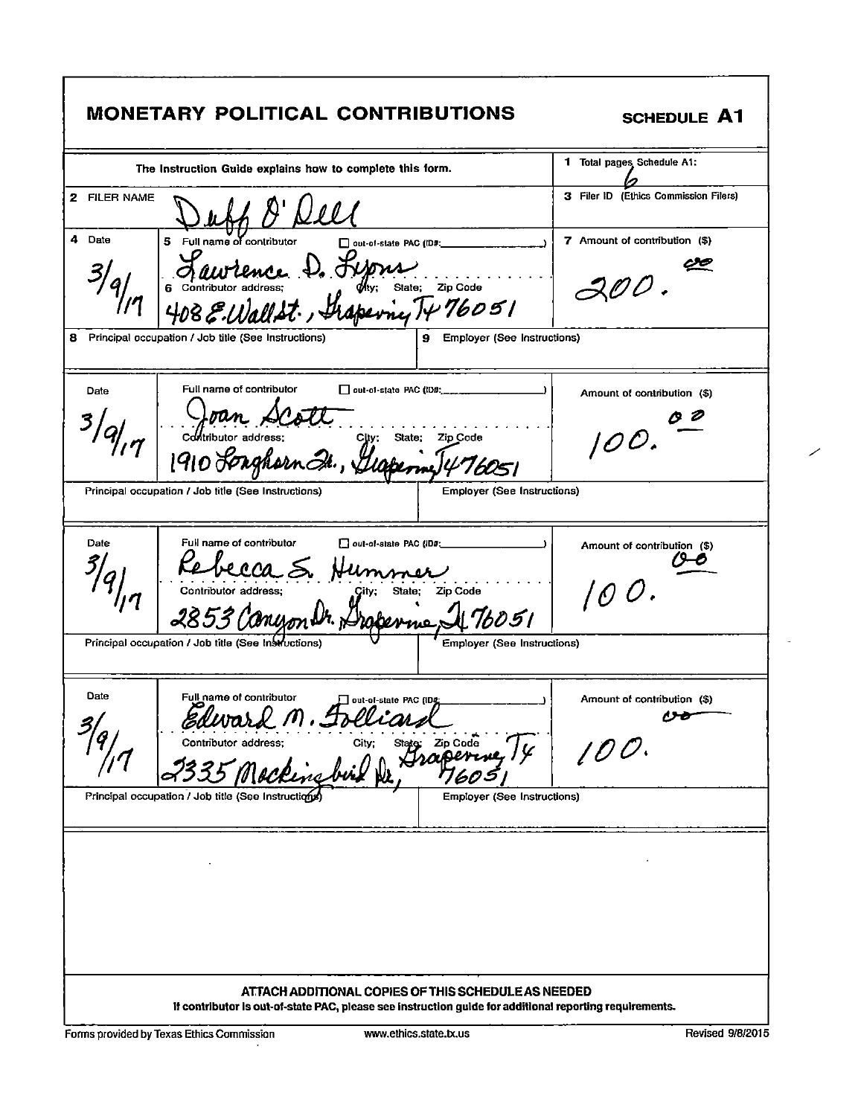| <b>MONETARY POLITICAL CONTRIBUTIONS</b>                                                                                                                                                                                                                                                                                                                                                                                                                                                                 | SCHEDULE A1                                                              |
|---------------------------------------------------------------------------------------------------------------------------------------------------------------------------------------------------------------------------------------------------------------------------------------------------------------------------------------------------------------------------------------------------------------------------------------------------------------------------------------------------------|--------------------------------------------------------------------------|
| The Instruction Guide explains how to complete this form.                                                                                                                                                                                                                                                                                                                                                                                                                                               | 1 Total pages Schedule A1:                                               |
| 2 FILER NAME                                                                                                                                                                                                                                                                                                                                                                                                                                                                                            | 3 Filer ID (Ethics Commission Filers)                                    |
| 4<br>Date<br>5 Full name of contributor<br>$\Box$ out-of-state PAC (ID#:<br>Saurience D. Lyons<br>6 Contributor address: D. Hys. State: Zip Code                                                                                                                                                                                                                                                                                                                                                        | 7 Amount of contribution (\$)<br>$\mathcal{A} \mathcal{O} \mathcal{O}$ . |
| 9 Employer (See Instructions)<br>Principal occupation / Job title (See Instructions)<br>8                                                                                                                                                                                                                                                                                                                                                                                                               |                                                                          |
| Full name of contributor<br>Date<br>Joan Dcott Sin: State: Zip Code<br>Contributor address: City: State: Zip Code<br>1910 Songhern It, Llapermy 476051                                                                                                                                                                                                                                                                                                                                                  | Amount of contribution (\$)<br>$\mathcal{O}O$ .                          |
| <b>Employer (See Instructions)</b><br>Principal occupation / Job title (See Instructions)                                                                                                                                                                                                                                                                                                                                                                                                               |                                                                          |
| Full name of contributor<br>Date<br>out-of-state PAC (ID#:<br><u>and the state of the state of the state of the state of the state of the state of the state of the state of the state of the state of the state of the state of the state of the state of the state of the state of the state</u><br>Ke becca S. Hummer<br>Contributor address; Gity; State; Zip Code<br>2853 Canyon Dr. Proferme, 476051<br>Principal occupation / Job title (See Instructions)<br><b>Employer (See Instructions)</b> | Amount of contribution (\$)<br>100.                                      |
| Date<br>Full name of contributor<br>$\Box$ out-of-state PAC (ID&<br>باسدرارها<br>גמי.<br>◡〃<br>Contributor address;<br>State: Zip Code<br>City:<br>Principal occupation / Job title (See Instructions<br>Employer (See Instructions)                                                                                                                                                                                                                                                                    | Amount of contribution (\$)<br>,,,,<br>100.                              |
| ATTACH ADDITIONAL COPIES OF THIS SCHEDULE AS NEEDED<br>If contributor is out-of-state PAC, please see instruction guide for additional reporting requirements.                                                                                                                                                                                                                                                                                                                                          |                                                                          |

Г

٦

╱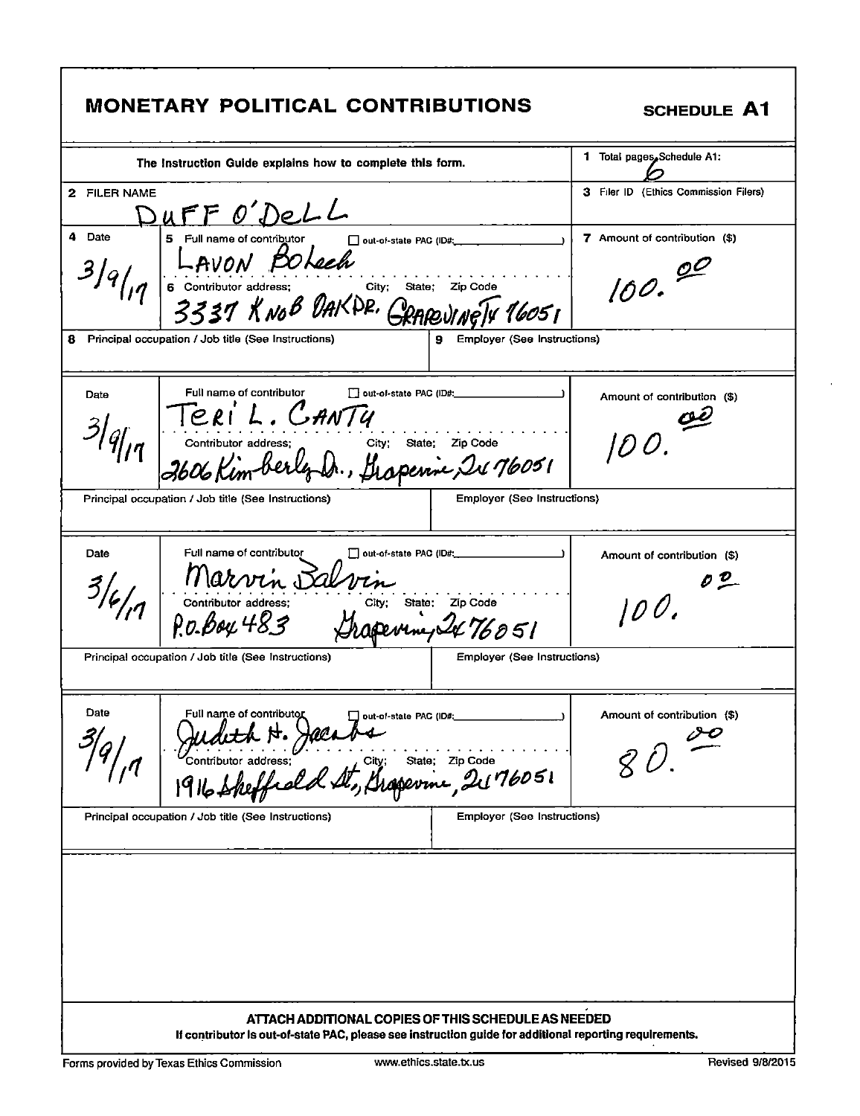| <b>MONETARY POLITICAL CONTRIBUTIONS</b>                                                                                                                                                                                                                                       | SCHEDULE A1                             |
|-------------------------------------------------------------------------------------------------------------------------------------------------------------------------------------------------------------------------------------------------------------------------------|-----------------------------------------|
| The Instruction Guide explains how to complete this form.                                                                                                                                                                                                                     | 1 Total pages. Schedule A1:             |
| 2 FILER NAME<br>DUFF O'DeLL                                                                                                                                                                                                                                                   | 3 Filer ID (Ethics Commission Filers)   |
| 4<br>Date<br>5 Full name of contributor<br>out-of-state PAC (ID#;<br>Full name of continuous<br>FOLEER<br>6 Contributor address:<br>3337 KNOB DAKPP. GRAREVINGTY 16051<br><b>Employer (See Instructions)</b><br>8<br>Principal occupation / Job title (See Instructions)<br>9 | 7 Amount of contribution (\$)<br>100.00 |
| Full name of contributor<br>out-of-state PAC (ID#:<br>Date<br>Teri L. CANTY<br>Contributor address: City: State: Zip Code<br>2606 Kimberly Dr., frapenic, 2476051<br><b>Employer (See Instructions)</b><br>Principal occupation / Job title (See Instructions)                | Amount of contribution (\$)             |
| Full name of contributor<br>Date<br>$\Box$ out-of-state PAC (ID#:<br>Marvin Salvin<br>Contributor address: City; State; Zip Code<br>P.O.Boy 483 Shapevine, 2476051                                                                                                            | Amount of contribution (\$)<br>100.02   |
| Employer (See Instructions)<br>Principal occupation / Job title (See Instructions)<br>Date<br>Full name of contributor<br>out-of-state PAC (ID#:<br>Contributor address: City; State; Zip Code<br>1916 Sheffeded St, Grapevine, 2176051                                       | Amount of contribution (\$)             |
| Employer (See Instructions)<br>Principal occupation / Job title (See Instructions)                                                                                                                                                                                            |                                         |
| ATTACH ADDITIONAL COPIES OF THIS SCHEDULE AS NEEDED<br>If contributor is out-of-state PAC, please see instruction guide for additional reporting requirements.                                                                                                                |                                         |

 $\epsilon$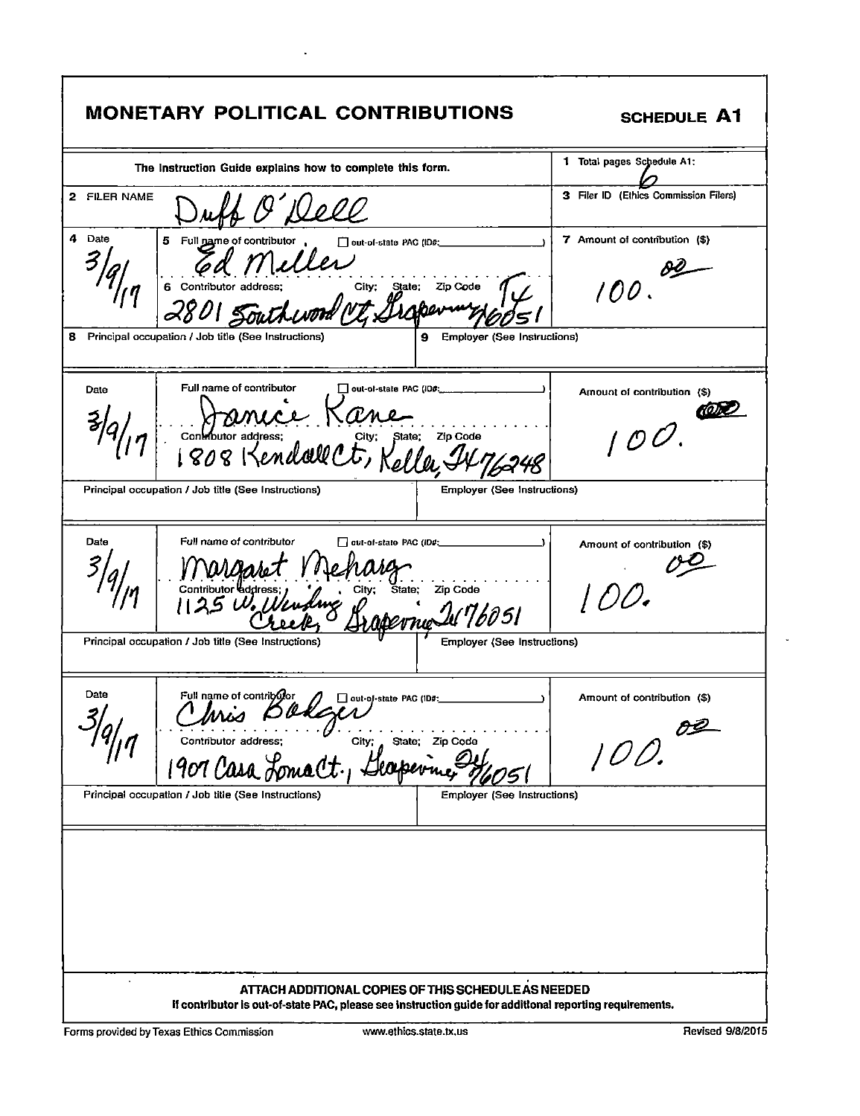| <b>MONETARY POLITICAL CONTRIBUTIONS</b>                                                                                                                                                                                                                            | <b>SCHEDULE A1</b>                                        |
|--------------------------------------------------------------------------------------------------------------------------------------------------------------------------------------------------------------------------------------------------------------------|-----------------------------------------------------------|
| The Instruction Guide explains how to complete this form.                                                                                                                                                                                                          | 1 Total pages Schedule A1:                                |
| 2 FILER NAME<br><u> Ilell</u>                                                                                                                                                                                                                                      | 3 Filer ID (Ethics Commission Filers)                     |
| 4 Date<br>5 Full name of contributor<br>out-of-state PAC (ID#:<br>dress; city; State; Zip Code<br>6 Contributor address;<br>Principal occupation / Job title (See Instructions)<br>8<br><b>Employer (See Instructions)</b>                                         | 7 Amount of contribution (\$)<br>100.                     |
| Full name of contributor<br>$\Box$ out-of-state PAC (ID#; _____<br>Date<br>Continutor adgress: Kane, Zip Code<br><b>Employer (See Instructions)</b><br>Principal occupation / Job title (See Instructions)                                                         | Amount of contribution (\$)<br>$\mathcal{O}(\mathcal{O})$ |
| Full name of contributor<br>Date<br>out-of-state PAC (ID#;<br>11 WUMARET 114 Marg<br>Contributor address: Elity; State; Zip Code<br>1125 W. Wundang 0<br>perne W76051<br>Principal occupation / Job title (See Instructions)<br><b>Employer (See Instructions)</b> | Amount of contribution (\$)<br>100.                       |
| Date<br>Full name of contribotor<br>Π<br>out-of-state PAC (ID#:<br>Chris Bakzer State For Guine<br>State; Zip Code<br>Principal occupation / Job title (See Instructions)<br><b>Employer (See Instructions)</b>                                                    | Amount of contribution (\$)<br>100.02                     |
| $\cdot$<br>ATTACH ADDITIONAL COPIES OF THIS SCHEDULE AS NEEDED<br>If contributor is out-of-state PAC, please see instruction guide for additional reporting requirements.                                                                                          |                                                           |

 $\hat{\mathbf{r}}$ 

Forms provided by Texas Ethics Commission

 $\ddot{\phantom{a}}$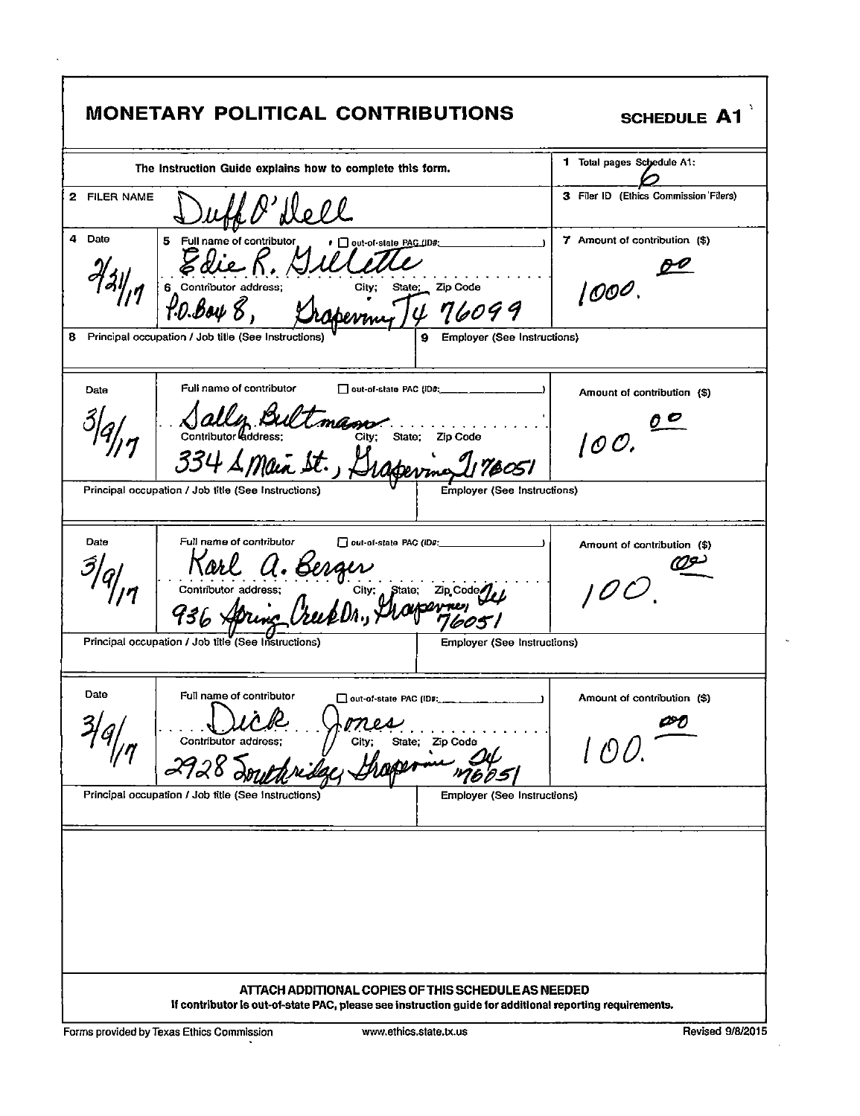| <b>MONETARY POLITICAL CONTRIBUTIONS</b>                                                                                                                                                              | <b>SCHEDULE A1</b>                       |
|------------------------------------------------------------------------------------------------------------------------------------------------------------------------------------------------------|------------------------------------------|
| The Instruction Guide explains how to complete this form.                                                                                                                                            | 1 Total pages Schedule A1:               |
| 2 FILER NAME                                                                                                                                                                                         | 3 Filer ID (Ethics Commission Filers)    |
| 4 Date<br>5<br>Full name of contributor<br>● Out-of-state PAC_(ID#;<br>$6$ Contributor address;<br>$10.8846$<br>$\cancel{8}$<br>$\cancel{10.8846}$<br>$\cancel{8}$<br>$\cancel{10.8846}$<br>Zip Code | 7 Amount of contribution (\$)<br>1000.   |
| 476099<br>Principal occupation / Job title (See Instructions)<br>Employer (See Instructions)<br>8<br>9                                                                                               |                                          |
| Full name of contributor<br>out-of-state PAC (ID#: ______________<br>Date                                                                                                                            | Amount of contribution (\$)              |
| Sally Bultmann Sing State 210 Code<br>Contributor Godness; Lt., Ltagerman 19051<br><b>Employer (See Instructions)</b><br>Principal occupation / Job title (See Instructions)                         | 100.                                     |
|                                                                                                                                                                                                      |                                          |
| Full name of contributor<br>Date<br>out-of-state PAC (ID#:<br>Karl a. Berger<br>Contributor address: Berger<br>936 Apring Creek DA., Marcriag                                                        | Amount of contribution (\$)              |
| Principal occupation / Job title (See Instructions)<br><b>Employer (See Instructions)</b>                                                                                                            |                                          |
| Date<br>Full name of contributor<br>$\cdot$ $\sim$<br>Contributor address;<br>State; Zip Code<br>City;<br>h apen<br>2928                                                                             | Amount of contribution (\$)<br>PO<br>[OU |
| Principal occupation / Job title (See Instructions)<br><b>Employer (See Instructions)</b>                                                                                                            |                                          |
|                                                                                                                                                                                                      |                                          |
| ATTACH ADDITIONAL COPIES OF THIS SCHEDULE AS NEEDED<br>If contributor is out-of-state PAC, please see instruction guide for additional reporting requirements.                                       |                                          |

Forms provided by Texas Ethics Commission

 $\ddot{\phantom{a}}$ 

Ň,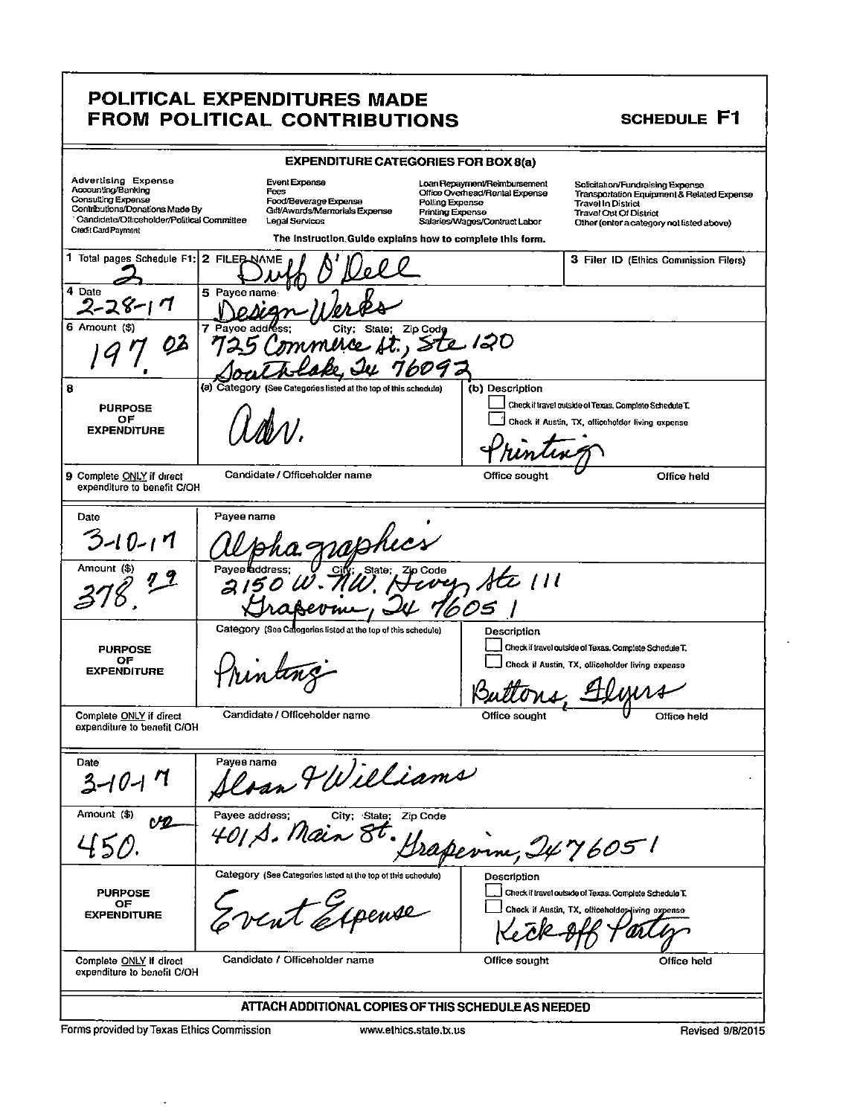### POLITICAL EXPENDITURES MADE FROM POLITICAL CONTRIBUTIONS

### SCHEDULE F1

|                                                                                                                                                                                       |                | <b>EXPENDITURE CATEGORIES FOR BOX 8(a)</b>                                                                                                                     |                                            |                                                                                                 |                                                                                                            |                                                                                         |
|---------------------------------------------------------------------------------------------------------------------------------------------------------------------------------------|----------------|----------------------------------------------------------------------------------------------------------------------------------------------------------------|--------------------------------------------|-------------------------------------------------------------------------------------------------|------------------------------------------------------------------------------------------------------------|-----------------------------------------------------------------------------------------|
| <b>Advertising Expense</b><br>Accounting/Banking<br><b>Consulting Expense</b><br>Contributions/Donations Made By<br>Gandidate/Officeholder/Political Committee<br>Credit Card Payment |                | Event Expanse<br>Fees<br>Food/Beverage Expense<br>Gilt/Awards/Memorials Expense<br>Legal Services<br>The Instruction Guide explains how to complete this form. | Polling Expense<br><b>Printing Expense</b> | Loan Repayment/Reimbursement<br>Office Overhead/Rental Expense<br>Salaries/Wages/Contract Labor | Solicitation/Fundraising Expense<br><b>Travel In District</b><br><b>Travel Out Of District</b>             | Transportation Equipment & Related Expense<br>Other (enter a category not listed above) |
| 1 Total pages Schedule F1: 2 FILEB NAME                                                                                                                                               |                |                                                                                                                                                                |                                            |                                                                                                 |                                                                                                            | 3 Filer ID (Ethics Commission Filers)                                                   |
| 4 Date                                                                                                                                                                                | 5 Payee name   |                                                                                                                                                                |                                            |                                                                                                 |                                                                                                            |                                                                                         |
| 6 Amount (\$)<br>02                                                                                                                                                                   | 7 Payee add    | City:<br>State:<br>mmi                                                                                                                                         | Zip Code<br>re ft., Ste 120<br>609 J       |                                                                                                 |                                                                                                            |                                                                                         |
| 8                                                                                                                                                                                     |                | (a) Category (See Categories listed at the top of this schedule)                                                                                               |                                            | (b) Description                                                                                 |                                                                                                            |                                                                                         |
| <b>PURPOSE</b>                                                                                                                                                                        |                |                                                                                                                                                                |                                            |                                                                                                 | Check if travel outside of Texas. Complete Schedule T.                                                     |                                                                                         |
| ОF<br><b>EXPENDITURE</b>                                                                                                                                                              |                |                                                                                                                                                                |                                            |                                                                                                 | Check if Austin, TX, officeholder living expense                                                           |                                                                                         |
| 9 Complete ONLY if direct<br>expenditure to benefit C/OH                                                                                                                              |                | Candidate / Officeholder name                                                                                                                                  |                                            | Office sought                                                                                   |                                                                                                            | Office held                                                                             |
| Date                                                                                                                                                                                  | Payee name     |                                                                                                                                                                |                                            |                                                                                                 |                                                                                                            |                                                                                         |
| $3 - 10 - 17$                                                                                                                                                                         |                |                                                                                                                                                                |                                            |                                                                                                 |                                                                                                            |                                                                                         |
| Amount (\$)                                                                                                                                                                           | Pave           | State;                                                                                                                                                         |                                            | 乞 /11<br>605                                                                                    |                                                                                                            |                                                                                         |
|                                                                                                                                                                                       |                | Category (See Categories listed at the top of this schedule)                                                                                                   |                                            | Description                                                                                     |                                                                                                            |                                                                                         |
| <b>PURPOSE</b>                                                                                                                                                                        |                |                                                                                                                                                                |                                            |                                                                                                 | Check if travel outside of Texas. Complete Schedule T.                                                     |                                                                                         |
| ОF<br><b>EXPENDITURE</b>                                                                                                                                                              |                |                                                                                                                                                                |                                            |                                                                                                 | Check if Austin, TX, officeholder living expense                                                           |                                                                                         |
|                                                                                                                                                                                       |                |                                                                                                                                                                |                                            |                                                                                                 |                                                                                                            |                                                                                         |
| Complete ONLY if direct<br>expenditure to benefit C/OH                                                                                                                                |                | Candidate / Officeholder name                                                                                                                                  |                                            | Office sought                                                                                   |                                                                                                            | Office held                                                                             |
| Date<br>3-10.                                                                                                                                                                         |                | Deran Williams                                                                                                                                                 |                                            |                                                                                                 |                                                                                                            |                                                                                         |
| Amount (\$)<br>V2                                                                                                                                                                     | Payee address; | City; State; Zip Code<br>401 S. Main 8t                                                                                                                        |                                            | Perrne, 2476051                                                                                 |                                                                                                            |                                                                                         |
| <b>PURPOSE</b><br>OF<br><b>EXPENDITURE</b>                                                                                                                                            |                | Category (See Categories listed at the top of this schedule)<br>oeuse                                                                                          |                                            | Description                                                                                     | Check if travel outside of Texas. Complete Schedule T.<br>Check if Austin, TX, officeholder living expense |                                                                                         |
| Complete ONLY if direct<br>expenditure to benefit C/OH                                                                                                                                |                | Candidate / Officeholder name                                                                                                                                  |                                            | Office sought                                                                                   |                                                                                                            | Office held                                                                             |
|                                                                                                                                                                                       |                | ATTACH ADDITIONAL COPIES OF THIS SCHEDULE AS NEEDED                                                                                                            |                                            |                                                                                                 |                                                                                                            |                                                                                         |
| <b>Conno avenue de la Tanza Citatrio On</b>                                                                                                                                           |                |                                                                                                                                                                |                                            |                                                                                                 |                                                                                                            | 1.000000000                                                                             |

Forms provided by Texas Ethics Commission

 $\bar{\gamma}$ 

Revised 9/8/2015

 $\blacksquare$